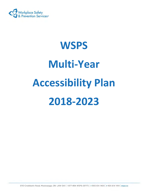

# **WSPS Multi-Year Accessibility Plan 2018-2023**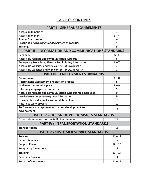# **TABLE OF CONTENTS**

| <b>PART I - GENERAL REQUIREMENTS</b>                           |                         |
|----------------------------------------------------------------|-------------------------|
| <b>Accessibility policies</b>                                  | $\overline{\mathbf{3}}$ |
| <b>Accessibility plans</b>                                     | $3 - 4$                 |
| <b>Annual Status report</b>                                    | 4                       |
| <b>Procuring or Acquiring Goods, Services of Facilities</b>    | 4                       |
| <b>Training</b>                                                | 5                       |
| <b>PART II - INFORMATION AND COMMUNICATIONS STANDARDS</b>      |                         |
| <b>Feedback</b>                                                | $5 - 6$                 |
| <b>Accessible formats and communication supports</b>           | 6                       |
| <b>Emergency Procedure, Plans or Public Safety Information</b> | $6 - 7$                 |
| Accessible websites and web content, WCAG level A              | $\overline{7}$          |
| Accessible websites and web content, WCAG level AA             | 7                       |
| <b>PART III - EMPLOYMENT STANDARDS</b>                         |                         |
| Recruitment                                                    | $7 - 8$                 |
| <b>Recruitment, Assessment or Selection Process</b>            | 8                       |
| <b>Notice to successful applicants</b>                         | $8 - 9$                 |
| Informing employees of supports                                | 9                       |
| Accessible formats and communication supports for employees    | 9                       |
| Workplace emergency response information                       | 9                       |
| Documented individual accommodation plans                      | 10                      |
| <b>Return to work process</b>                                  | 10                      |
| Performance management and career development and              | 11                      |
| advancement                                                    |                         |
| <b>PART IV - DESIGN OF PUBLIC SPACES STANDARDS</b>             |                         |
| <b>Accessible standards for the Built Environment</b>          | 11                      |
| PART IV (i) TRANSPORTATION STANDARDS                           |                         |
| <b>Transportation</b>                                          | 11                      |
| <b>PART V - CUSTOMER SERVICE STANDARDS</b>                     |                         |
| <b>Policies</b>                                                | $11 - 12$               |
| <b>Service Animals</b>                                         | 12                      |
| <b>Support Persons</b>                                         | $12 - 13$               |
| <b>Temporary Disruptions</b>                                   | 13                      |
| <b>Training</b>                                                | $13 - 14$               |
| <b>Feedback Process</b>                                        | 14                      |
| <b>Format of Documents</b>                                     | $14 - 15$               |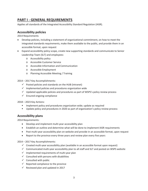# **PART I - GENERAL REQUIREMENTS**

Applies all standards of the Integrated Accessibility Standard Regulation (IASR).

## **Accessibility policies**

2014 Requirements

- Develop policies, including a statement of organizational commitment, on how to meet the integrated standards requirements, make them available to the public, and provide them in an accessible format, upon request
- Expand accessibility policy scope, create new supporting standards and communicate to Senior Leadership Team (SLT) and employees:
	- o Accessibility policy
	- o Accessible Customer Service
	- o Accessible Information and Communication
	- o Accessible Employment
	- o Planning Accessible Meeting / Training

2014 – 2017 Key Accomplishments:

- $\checkmark$  Posted policies and standards on the HUB (intranet)
- $\checkmark$  Implemented policies and procedures organization wide
- $\checkmark$  Updated applicable policies and procedures as part of WSPS's policy review process
- $\checkmark$  Ensured ongoing compliance

2018 – 2023 Key Actions:

- **IMPLEMENT POLICY AND PROCEDUTES** organization wide; update as required
- Update policy and procedures in 2020 as part of organization's policy review process

## **Accessibility plans**

2014 Requirements:

- Develop and implement multi-year accessibility plan
- Establish an outline and determine what will be done to implement IASR requirements
- Post multi-year accessibility plan on website and provide in an accessible format, upon request
- Report to the province every three years and review plan every five years

2014 – 2017 Key Accomplishments:

- $\checkmark$  Created multi-year accessibility plan (available in an accessible format upon request)
- $\checkmark$  Communicated multi-year accessibility plan to all staff and SLT and posted on WSPS website
- $\checkmark$  Implemented requirements of multi-year plan
- $\checkmark$  Consulted with persons with disabilities
- $\checkmark$  Consulted with public
- $\checkmark$  Reported compliance to the province
- $\checkmark$  Reviewed plan and updated in 2017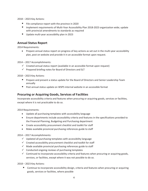- File compliance report with the province in 2020
- **Implement requirements of Multi-Year Accessibility Plan 2018-2023 organization wide; update** with provincial amendments to standards as required
- Update multi-year accessibility plan in 2023

## **Annual Status Report**

2014 Requirements:

• Prepare annual status report on progress of key actions as set out in the multi-year accessibility plan, post on website and provide it in an accessible format upon request.

2014 – 2017 Accomplishments:

- $\checkmark$  Created annual status report (available in an accessible format upon request)
- $\checkmark$  Prepared briefing notes for Board of Directors and SLT

2018 – 2023 Key Actions:

- **Prepare and present a status update for the Board of Directors and Senior Leadership Team** annually
- Post annual status update on WSPS internal website in an accessible format

#### **Procuring or Acquiring Goods, Services of Facilities**

Incorporate accessibility criteria and features when procuring or acquiring goods, services or facilities, except where it is not practicable to do so.

2014 Requirements:

- Update all purchasing templates with accessibility language
- Ensure departments include accessibility criteria and features in the specifications provided to the Financial Planning, Budgeting and Purchasing department
- Create accessibility procurement checklist and toolkit for staff
- Make available provincial purchasing references guide to staff

2014 – 2017 Accomplishments:

- $\checkmark$  Updated all purchasing templates with accessibility language
- $\checkmark$  Created accessibility procurement checklist and toolkit for staff
- $\checkmark$  Made available provincial purchasing references guide to staff
- $\checkmark$  Conducted ongoing reviews of purchasing templates
- $\checkmark$  Continued to incorporate accessibility criteria and features when procuring or acquiring goods, services, or facilities, except where it was not possible to do so.

2018 – 2023 Key Actions:

 Continue to incorporate accessibility design, criteria and features when procuring or acquiring goods, services or facilities, where possible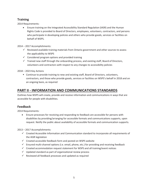# **Training**

2014 Requirements:

• Ensure training on the Integrated Accessibility Standard Regulation (IASR) and the Human Rights Code is provided to Board of Directors, employees, volunteers, contractors, and persons who participate in developing policies and others who provide goods, services or facilities on behalf of WSPS.

2014 – 2017 Accomplishments:

- $\checkmark$  Reviewed available training materials from Ontario government and other sources to assess the applicability to WSPS
- $\checkmark$  Considered program options and provided training
- $\checkmark$  Trained new staff through the onboarding process, and existing staff, Board of Directors, volunteers and contractors with respect to any changes to accessibility policies

2018 – 2023 Key Actions

**Continue to provide training to new and existing staff, Board of Directors, volunteers,** contractors, and those who provide goods, services or facilities on WSPS's behalf in 2018 and on an ongoing basis, as required

# **PART II - INFORMATION AND COMMUNICATIONS STANDARDS**

Outlines how WSPS will create, provide and receive information and communications in ways that are accessible for people with disabilities.

## **Feedback**

2014 Requirements:

• Ensure processes for receiving and responding to feedback are accessible for persons with disabilities by providing/arranging for accessible formats and communications supports, upon request. Notify the public about availability of accessible formats and communication supports.

2013 – 2017 Accomplishments:

- $\checkmark$  Created Accessible Information and Communication standard to incorporate all requirements of the IASR legislation
- $\checkmark$  Created accessible feedback form and posted on WSPS website
- $\checkmark$  Ensured multi-channel options (i.e. email, phone, etc.) for providing and receiving feedback
- $\checkmark$  Created accommodation request statement for WSPS and all training/event notices
- $\checkmark$  Updated standard as part of organizational review process
- $\checkmark$  Reviewed all feedback processes and updated as required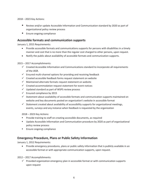- Review and/or update Accessible Information and Communication standard by 2020 as part of organizational policy review process
- **Ensure ongoing compliance**

## **Accessible formats and communication supports**

January 1, 2015 Requirements:

- Provide accessible formats and communications supports for persons with disabilities in a timely manner and cost that is no more than the regular cost charged to other persons, upon request.
- Notify the public about availability of accessible formats and communication supports.

#### 2015 – 2017 Accomplishments:

- $\checkmark$  Created Accessible Information and Communications standard to incorporate all requirements of the IASR.
- $\checkmark$  Ensured multi-channel options for providing and receiving feedback
- $\checkmark$  Created accessible feedback forms request statement on website
- $\checkmark$  Maintained alternate formats request statement on website
- $\checkmark$  Created accommodation request statement for event notices
- $\checkmark$  Updated standard as part of WSPS review process
- $\checkmark$  Ensured compliance by 2015
- $\checkmark$  Statement about availability of accessible formats and communication supports maintained on website and key documents posted on organization's website in accessible format
- $\checkmark$  Statement created about availability of accessibility supports for organizational meetings, events, surveys and any instance when feedback is requested by the organization

#### 2018 – 2023 Key Actions:

- **Provide training to staff on creating accessible documents, as required**
- Update Accessible Information and Communication procedure by 2020 as part of organizational policy review process
- **Ensure ongoing compliance**

## **Emergency Procedure, Plans or Public Safety Information**

January 1, 2012 Requirements:

• Provide emergency procedures, plans or public safety information that is publicly available in an accessible format or with appropriate communication supports, upon request.

#### 2012 – 2017 Accomplishments:

 $\checkmark$  Provided organization emergency plan in accessible format or with communication supports upon request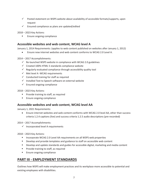- $\checkmark$  Posted statement on WSPS website about availability of accessible formats/supports, upon request
- $\checkmark$  Ensured compliance as plans are updated/edited

**Ensure ongoing compliance** 

## **Accessible websites and web content, WCAG level A**

January 1, 2014 Requirements: (applies to web content published on websites after January 1, 2012)

x Ensure new internet websites and web content conforms to WCAG 2.0 Level A.

2014 – 2017 Accomplishments:

- $\checkmark$  Re-launched WSPS website in compliance with WCAG 2.0 guidelines
- $\checkmark$  Created 100% HTML 5 standards compliance website
- $\checkmark$  Regularly evaluated compliance through accessibility quality tool
- $\checkmark$  Met level A -WCAG requirements
- $\checkmark$  Conducted training for staff as required
- $\checkmark$  Installed Text to Speech software on external website
- $\checkmark$  Ensured ongoing compliance

2018 – 2023 Key Actions:

- **Provide training to staff, as required**
- **Ensure ongoing compliance**

#### **Accessible websites and web content, WCAG level AA**

January 1, 2021 Requirements:

• Ensure internet websites and web content conforms with WCAG 2.0 level AA, other than success criteria 1.2.4 captions (live) and success criteria 1.2.5 audio descriptions (pre-recorded)

2014 – 2017 Accomplishments:

 $\checkmark$  Incorporated level A requirements

2018 – 2023 Key Actions:

- **Incorporate WCAG 2.0 Level AA requirements on all WSPS web properties**
- **Develop and provide templates and guidance to staff on accessible web content**
- Develop and update standards and guides for accessible digital, marketing and media content
- **Provide training to staff, as required**
- **Ensure ongoing compliance**

# **PART III - EMPLOYMENT STANDARDS**

Outlines how WSPS will make employment practices and its workplace more accessible to potential and existing employees with disabilities.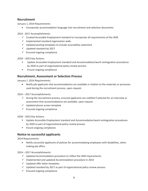## **Recruitment**

January 1, 2014 Requirements:

• Incorporate accommodation language into recruitment and selection documents

2014 - 2017 Accomplishments:

- $\checkmark$  Created Accessible Employment standard to incorporate all requirements of the IASR.
- $\checkmark$  Implemented standard organization wide
- $\checkmark$  Updated posting templates to include accessibility statement
- $\checkmark$  Updated standard by 2017
- $\checkmark$  Ensured ongoing compliance

2018 – 2023 Key Actions:

- **Update Accessible Employment standard and Accommodation/work reintegration procedures** by 2020 as part of organizational policy review process
- **Ensure ongoing compliance**

#### **Recruitment, Assessment or Selection Process**

January 1, 2014 Requirements:

• Notify job applicants that accommodations are available in relation to the materials or processes used during the recruitment process, upon request.

2014 – 2017 Accomplishments:

- $\checkmark$  During the recruitment process, ensured applicants are notified if selected for an interview or assessment that accommodations are available, upon request
- $\checkmark$  Updated phone screen template
- $\checkmark$  Ensured ongoing compliance

2018 – 2023 Key Actions:

- **Update Accessible Employment standard and Accommodation/work reintegration procedures** by 2020 as part of organizational policy review process
- **Ensure ongoing compliance**

## **Notice to successful applicants**

2014 Requirements:

• Notify successful applicants of policies for accommodating employees with disabilities, when making job offers.

2014 – 2017 Accomplishments:

- $\checkmark$  Updated Accommodation procedure to reflect the IASR requirements
- $\checkmark$  Implemented and updated Accommodation procedure in 2014
- $\checkmark$  Updated offer letter templates
- $\checkmark$  Updated standard by 2017 as part of organizational policy review process
- $\checkmark$  Ensured ongoing compliance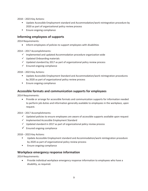- **Update Accessible Employment standard and Accommodation/work reintegration procedure by** 2020 as part of organizational policy review process
- **Ensure ongoing compliance**

## **Informing employees of supports**

2014 Requirements:

• Inform employees of policies to support employees with disabilities

2014 – 2017 Accomplishments:

- $\checkmark$  Implemented and updated Accommodation procedure organization wide
- $\checkmark$  Updated Onboarding materials
- $\checkmark$  Updated standard by 2017 as part of organizational policy review process
- $\checkmark$  Ensured ongoing compliance

2018 – 2023 Key Actions:

- Update Accessible Employment Standard and Accommodation/work reintegration procedures by 2020 as part of organizational policy review process
- **Ensure ongoing compliance**

#### **Accessible formats and communication supports for employees**

2014 Requirements:

• Provide or arrange for accessible formats and communication supports for information needed to perform job duties and information generally available to employees in the workplace, upon request.

2014 – 2017 Accomplishments:

- $\checkmark$  Updated policies to ensure employees are aware of accessible supports available upon request
- $\checkmark$  Implemented Accessible Employment Standard
- $\checkmark$  Updated standard in 2017 as part of organizational policy review process
- $\checkmark$  Ensured ongoing compliance

2018 – 2023 Key Actions:

- Update Accessible Employment standard and Accommodation/work reintegration procedure by 2020 as part of organizational policy review process
- **Ensure ongoing compliance**

#### **Workplace emergency response information**

2014 Requirements:

Provide individual workplace emergency response information to employees who have a disability, as required.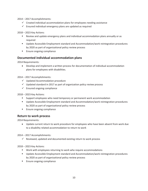2014 – 2017 Accomplishments:

- $\checkmark$  Created individual accommodation plans for employees needing assistance
- $\checkmark$  Ensured individual emergency plans are updated as required

2018 – 2023 Key Actions:

- Review and update emergency plans and individual accommodation plans annually or as required
- **Update Accessible Employment standard and Accommodation/work reintegration procedures** by 2020 as part of organizational policy review process
- **Ensure ongoing compliance**

## **Documented individual accommodation plans**

2014 Requirements:

• Develop and implement a written process for documentation of individual accommodation plans for employees with disabilities.

2014 – 2017 Accomplishments:

- $\checkmark$  Updated Accommodation procedure
- $\checkmark$  Updated standard in 2017 as part of organization policy review process
- $\checkmark$  Ensured ongoing compliance

2018 – 2023 Key Actions:

- **Support employees who need temporary or permanent work accommodation**
- **Update Accessible Employment standard and Accommodation/work reintegration procedures** by 2020 as part of organizational policy review process
- **Ensure ongoing compliance**

#### **Return to work process**

2014 Requirements:

• Update current return to work procedure for employees who have been absent from work due to a disability related accommodation to return to work

2014 – 2017 Accomplishments:

 $\checkmark$  Reviewed, updated and documented existing return to work process

2018 – 2023 Key Actions:

- Work with employees returning to work who require accommodations
- Update Accessible Employment standard and Accommodation/work reintegration procedures by 2020 as part of organizational policy review process
- **Ensure ongoing compliance**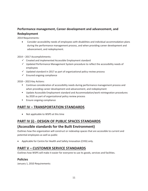# **Performance management, Career development and advancement, and Redeployment**

2014 Requirements:

• Consider accessibility needs of employees with disabilities and individual accommodation plans during the performance management process, and when providing career development and advancement, and redeployment.

2014 – 2017 Accomplishments:

- $\checkmark$  Created and implemented Accessible Employment standard
- $\checkmark$  Updated Performance Management System procedure to reflect the accessibility needs of employees
- $\checkmark$  Updated standard in 2017 as part of organizational policy review process
- $\checkmark$  Ensured ongoing compliance

2018 – 2023 Key Actions:

- Continue consideration of accessibility needs during performance management process and when providing career development and advancement, and redeployment
- **Update Accessible Employment standard and Accommodation/work reintegration procedures** by 2020 as part of organizational policy review process
- **Ensure ongoing compliance**

# **PART IV – TRANSPORTATION STANDARDS**

• Not applicable to WSPS at this time

# **PART IV (i) - DESIGN OF PUBLIC SPACES STANDARDS**

## **(Accessible standards for the Built Environment)**

Outlines how the organization will construct or redevelop spaces that are accessible to current and potential employees as well as public

• Applicable for Centre for Health and Safety Innovation (CHSI) only.

# **PART V – CUSTOMER SERVICE STANDARDS**

Outlines how WSPS will make it easier for everyone to use its goods, services and facilities.

#### **Policies**

January 1, 2010 Requirements: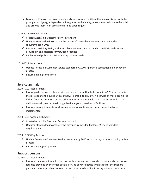• Develop policies on the provision of goods, services and facilities, that are consistent with the principles of dignity, independence, integration and equality, make them available to the public, and provide them in an accessible format, upon request.

2010-2017 Accomplishments:

- $\checkmark$  Created Accessible Customer Service standard
- $\checkmark$  Updated standard to incorporate the province's amended Customer Service Standard requirements in 2016
- $\checkmark$  Posted Accessibility Policy and Accessible Customer Service standard on WSPS website and provided in an accessible format, upon request
- $\checkmark$  Implemented policy and procedure organization wide

2018-2023 Key Actions

- **Update Accessible Customer Service standard by 2020 as part of organizational policy review** process
- **Ensure ongoing compliance**

#### **Service animals**

2010 – 2017 Requirements:

- Ensure guide dogs and other service animals are permitted to be used in WSPS areas/premises that are open to the public unless otherwise prohibited by law. If a service animal is prohibited by law from the premises, ensure other measures are available to enable the individual the ability to obtain, use or benefit organizational goods, services or facilities.
- Ensure new requirements for documentation for confirmation on service animals are implemented

2010 – 2017 Accomplishments:

- $\checkmark$  Created Accessible Customer Service standard
- $\checkmark$  Updated standard to incorporate the province's amended Customer Service Standard requirements

2018 – 2023 Key Actions:

- Update Accessible Customer Service procedure by 2020 as part of organizational policy review process
- **Ensure ongoing compliance**

## **Support persons**

2010 – 2017 Requirements:

• Ensure people with disabilities can access their support persons when using goods, services or facilities provided by the organization. Provide advance notice when a fee for the support person may be applicable. Consult the person with a disability if the organization requires a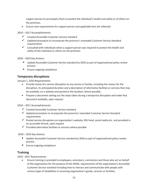support person to accompany them to protect the individual's health and safety or of others on the premises.

• Ensure new requirements for support person and applicable fare are reflected

2010 – 2017 Accomplishments:

- $\checkmark$  Created Accessible Customer Service standard
- $\checkmark$  Updated procedure to incorporate the province's amended Customer Service Standard requirements
- $\checkmark$  Consulted with individuals when a support person was required to protect the health and safety of the individual or others on the premises

2018 – 2023 Key Actions:

- Update Accessible Customer Service standard by 2020 as part of organizational policy review process
- **Ensure ongoing compliance**

## **Temporary disruptions**

January 1, 2010 Requirements:

- Provide notice of a service disruption to any service or facility, including the reason for the disruption, its anticipated duration and a description of alternative facilities or services that may be available, on a website and posted at the location, where possible.
- Prepare a document setting out the steps taken during a temporary disruption and make that document available, upon request.

2010 – 2017 Accomplishments:

- $\checkmark$  Created Accessible Customer Service standard
- $\checkmark$  Updated procedure to incorporate the province's amended Customer Service Standard requirements
- $\checkmark$  Posted service disruptions on organization's website, RSS Feed, social media etc. and provided in an accessible format, upon request
- $\checkmark$  Provided alternative facilities or services where possible

2018 – 2023 Key Actions:

- Update Accessible Customer Service standard by 2020 as part of organizational policy review process
- **Ensure ongoing compliance**

#### **Training**

2010 - 2017 Requirements:

Ensure training is provided to employees, volunteers, contractors and those who act on behalf of the organization for the purpose of the AODA, requirements of the organization's Accessible Customer Service standard including how to interact and communicate with people with various types of disabilities in accessing organization's goods, services or facilities.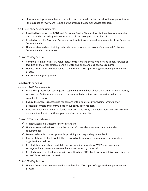**Ensure employees, volunteers, contractors and those who act on behalf of the organization for** the purpose of AODA, are trained on the amended Customer Service standards.

2010 – 2017 Key Accomplishments:

- $\checkmark$  Provided training on the AODA and Customer Service Standard for staff, contractors, volunteers and those who provide goods, services or facilities on organization's behalf
- $\checkmark$  Created Accessible Customer Service procedure to incorporate all requirements of the Customer Service Standard
- $\checkmark$  Updated standard and training materials to incorporate the province's amended Customer Service Standard requirements

2018 – 2023 Key Actions:

- Continue training to all staff, volunteers, contractors and those who provide goods, services or facilities on the organization's behalf in 2018 and on an ongoing basis, as required
- Update Accessible Customer Service standard by 2020 as part of organizational policy review process
- **Ensure ongoing compliance**

#### **Feedback process**

January 1, 2010 Requirements:

- Establish a process for receiving and responding to feedback about the manner in which goods, services and facilities are provided to persons with disabilities, and the actions taken if a complaint is received
- **•** Ensure the process is accessible for persons with disabilities by providing/arranging for accessible formats and communication supports, upon request.
- Prepare a document about the feedback process and notify the public about availability of the document and post it on the organization's external website.

2010 – 2017 Accomplishments:

- $\checkmark$  Created Accessible Customer Service standard
- $\checkmark$  Updated standard to incorporate the province's amended Customer Service Standard requirements
- $\checkmark$  Developed multi-channel options for providing and responding to feedback
- $\checkmark$  Posted statement about availability of accessible formats and communication supports on organization's website
- $\checkmark$  Created statement about availability of accessibility supports for WSPS meetings, events, surveys and any instance when feedback is requested by the WSPS
- $\checkmark$  Created a customer feedback form in both Word and PDF fillable form, which is also available in accessible format upon request

2018 – 2023 Key Actions:

■ Update Accessible Customer Service standard by 2020 as part of organizational policy review process